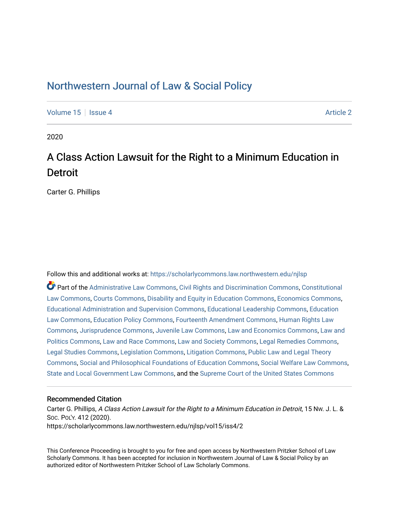## [Northwestern Journal of Law & Social Policy](https://scholarlycommons.law.northwestern.edu/njlsp)

[Volume 15](https://scholarlycommons.law.northwestern.edu/njlsp/vol15) Setsue 4 Article 2

2020

## A Class Action Lawsuit for the Right to a Minimum Education in **Detroit**

Carter G. Phillips

Follow this and additional works at: [https://scholarlycommons.law.northwestern.edu/njlsp](https://scholarlycommons.law.northwestern.edu/njlsp?utm_source=scholarlycommons.law.northwestern.edu%2Fnjlsp%2Fvol15%2Fiss4%2F2&utm_medium=PDF&utm_campaign=PDFCoverPages)

Part of the [Administrative Law Commons,](http://network.bepress.com/hgg/discipline/579?utm_source=scholarlycommons.law.northwestern.edu%2Fnjlsp%2Fvol15%2Fiss4%2F2&utm_medium=PDF&utm_campaign=PDFCoverPages) [Civil Rights and Discrimination Commons,](http://network.bepress.com/hgg/discipline/585?utm_source=scholarlycommons.law.northwestern.edu%2Fnjlsp%2Fvol15%2Fiss4%2F2&utm_medium=PDF&utm_campaign=PDFCoverPages) [Constitutional](http://network.bepress.com/hgg/discipline/589?utm_source=scholarlycommons.law.northwestern.edu%2Fnjlsp%2Fvol15%2Fiss4%2F2&utm_medium=PDF&utm_campaign=PDFCoverPages) [Law Commons,](http://network.bepress.com/hgg/discipline/589?utm_source=scholarlycommons.law.northwestern.edu%2Fnjlsp%2Fvol15%2Fiss4%2F2&utm_medium=PDF&utm_campaign=PDFCoverPages) [Courts Commons,](http://network.bepress.com/hgg/discipline/839?utm_source=scholarlycommons.law.northwestern.edu%2Fnjlsp%2Fvol15%2Fiss4%2F2&utm_medium=PDF&utm_campaign=PDFCoverPages) [Disability and Equity in Education Commons](http://network.bepress.com/hgg/discipline/1040?utm_source=scholarlycommons.law.northwestern.edu%2Fnjlsp%2Fvol15%2Fiss4%2F2&utm_medium=PDF&utm_campaign=PDFCoverPages), [Economics Commons,](http://network.bepress.com/hgg/discipline/340?utm_source=scholarlycommons.law.northwestern.edu%2Fnjlsp%2Fvol15%2Fiss4%2F2&utm_medium=PDF&utm_campaign=PDFCoverPages) [Educational Administration and Supervision Commons,](http://network.bepress.com/hgg/discipline/787?utm_source=scholarlycommons.law.northwestern.edu%2Fnjlsp%2Fvol15%2Fiss4%2F2&utm_medium=PDF&utm_campaign=PDFCoverPages) [Educational Leadership Commons,](http://network.bepress.com/hgg/discipline/1230?utm_source=scholarlycommons.law.northwestern.edu%2Fnjlsp%2Fvol15%2Fiss4%2F2&utm_medium=PDF&utm_campaign=PDFCoverPages) [Education](http://network.bepress.com/hgg/discipline/596?utm_source=scholarlycommons.law.northwestern.edu%2Fnjlsp%2Fvol15%2Fiss4%2F2&utm_medium=PDF&utm_campaign=PDFCoverPages)  [Law Commons,](http://network.bepress.com/hgg/discipline/596?utm_source=scholarlycommons.law.northwestern.edu%2Fnjlsp%2Fvol15%2Fiss4%2F2&utm_medium=PDF&utm_campaign=PDFCoverPages) [Education Policy Commons,](http://network.bepress.com/hgg/discipline/1026?utm_source=scholarlycommons.law.northwestern.edu%2Fnjlsp%2Fvol15%2Fiss4%2F2&utm_medium=PDF&utm_campaign=PDFCoverPages) [Fourteenth Amendment Commons](http://network.bepress.com/hgg/discipline/1116?utm_source=scholarlycommons.law.northwestern.edu%2Fnjlsp%2Fvol15%2Fiss4%2F2&utm_medium=PDF&utm_campaign=PDFCoverPages), [Human Rights Law](http://network.bepress.com/hgg/discipline/847?utm_source=scholarlycommons.law.northwestern.edu%2Fnjlsp%2Fvol15%2Fiss4%2F2&utm_medium=PDF&utm_campaign=PDFCoverPages) [Commons](http://network.bepress.com/hgg/discipline/847?utm_source=scholarlycommons.law.northwestern.edu%2Fnjlsp%2Fvol15%2Fiss4%2F2&utm_medium=PDF&utm_campaign=PDFCoverPages), [Jurisprudence Commons,](http://network.bepress.com/hgg/discipline/610?utm_source=scholarlycommons.law.northwestern.edu%2Fnjlsp%2Fvol15%2Fiss4%2F2&utm_medium=PDF&utm_campaign=PDFCoverPages) [Juvenile Law Commons](http://network.bepress.com/hgg/discipline/851?utm_source=scholarlycommons.law.northwestern.edu%2Fnjlsp%2Fvol15%2Fiss4%2F2&utm_medium=PDF&utm_campaign=PDFCoverPages), [Law and Economics Commons,](http://network.bepress.com/hgg/discipline/612?utm_source=scholarlycommons.law.northwestern.edu%2Fnjlsp%2Fvol15%2Fiss4%2F2&utm_medium=PDF&utm_campaign=PDFCoverPages) [Law and](http://network.bepress.com/hgg/discipline/867?utm_source=scholarlycommons.law.northwestern.edu%2Fnjlsp%2Fvol15%2Fiss4%2F2&utm_medium=PDF&utm_campaign=PDFCoverPages) [Politics Commons](http://network.bepress.com/hgg/discipline/867?utm_source=scholarlycommons.law.northwestern.edu%2Fnjlsp%2Fvol15%2Fiss4%2F2&utm_medium=PDF&utm_campaign=PDFCoverPages), [Law and Race Commons,](http://network.bepress.com/hgg/discipline/1300?utm_source=scholarlycommons.law.northwestern.edu%2Fnjlsp%2Fvol15%2Fiss4%2F2&utm_medium=PDF&utm_campaign=PDFCoverPages) [Law and Society Commons](http://network.bepress.com/hgg/discipline/853?utm_source=scholarlycommons.law.northwestern.edu%2Fnjlsp%2Fvol15%2Fiss4%2F2&utm_medium=PDF&utm_campaign=PDFCoverPages), [Legal Remedies Commons,](http://network.bepress.com/hgg/discipline/618?utm_source=scholarlycommons.law.northwestern.edu%2Fnjlsp%2Fvol15%2Fiss4%2F2&utm_medium=PDF&utm_campaign=PDFCoverPages) [Legal Studies Commons](http://network.bepress.com/hgg/discipline/366?utm_source=scholarlycommons.law.northwestern.edu%2Fnjlsp%2Fvol15%2Fiss4%2F2&utm_medium=PDF&utm_campaign=PDFCoverPages), [Legislation Commons](http://network.bepress.com/hgg/discipline/859?utm_source=scholarlycommons.law.northwestern.edu%2Fnjlsp%2Fvol15%2Fiss4%2F2&utm_medium=PDF&utm_campaign=PDFCoverPages), [Litigation Commons,](http://network.bepress.com/hgg/discipline/910?utm_source=scholarlycommons.law.northwestern.edu%2Fnjlsp%2Fvol15%2Fiss4%2F2&utm_medium=PDF&utm_campaign=PDFCoverPages) [Public Law and Legal Theory](http://network.bepress.com/hgg/discipline/871?utm_source=scholarlycommons.law.northwestern.edu%2Fnjlsp%2Fvol15%2Fiss4%2F2&utm_medium=PDF&utm_campaign=PDFCoverPages) [Commons](http://network.bepress.com/hgg/discipline/871?utm_source=scholarlycommons.law.northwestern.edu%2Fnjlsp%2Fvol15%2Fiss4%2F2&utm_medium=PDF&utm_campaign=PDFCoverPages), [Social and Philosophical Foundations of Education Commons,](http://network.bepress.com/hgg/discipline/799?utm_source=scholarlycommons.law.northwestern.edu%2Fnjlsp%2Fvol15%2Fiss4%2F2&utm_medium=PDF&utm_campaign=PDFCoverPages) [Social Welfare Law Commons](http://network.bepress.com/hgg/discipline/878?utm_source=scholarlycommons.law.northwestern.edu%2Fnjlsp%2Fvol15%2Fiss4%2F2&utm_medium=PDF&utm_campaign=PDFCoverPages), [State and Local Government Law Commons](http://network.bepress.com/hgg/discipline/879?utm_source=scholarlycommons.law.northwestern.edu%2Fnjlsp%2Fvol15%2Fiss4%2F2&utm_medium=PDF&utm_campaign=PDFCoverPages), and the [Supreme Court of the United States Commons](http://network.bepress.com/hgg/discipline/1350?utm_source=scholarlycommons.law.northwestern.edu%2Fnjlsp%2Fvol15%2Fiss4%2F2&utm_medium=PDF&utm_campaign=PDFCoverPages) 

#### Recommended Citation

Carter G. Phillips, A Class Action Lawsuit for the Right to a Minimum Education in Detroit, 15 NW. J. L. & SOC. POL'Y. 412 (2020). https://scholarlycommons.law.northwestern.edu/njlsp/vol15/iss4/2

This Conference Proceeding is brought to you for free and open access by Northwestern Pritzker School of Law Scholarly Commons. It has been accepted for inclusion in Northwestern Journal of Law & Social Policy by an authorized editor of Northwestern Pritzker School of Law Scholarly Commons.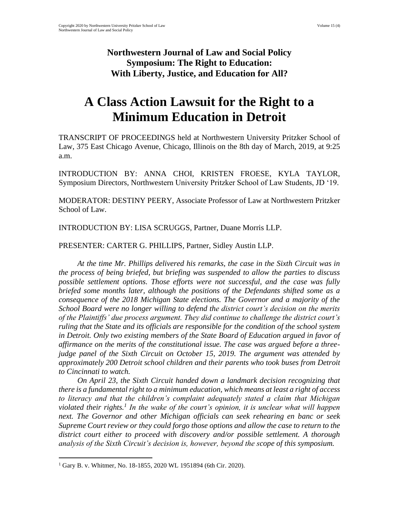### **Northwestern Journal of Law and Social Policy Symposium: The Right to Education: With Liberty, Justice, and Education for All?**

# **A Class Action Lawsuit for the Right to a Minimum Education in Detroit**

TRANSCRIPT OF PROCEEDINGS held at Northwestern University Pritzker School of Law, 375 East Chicago Avenue, Chicago, Illinois on the 8th day of March, 2019, at 9:25 a.m.

INTRODUCTION BY: ANNA CHOI, KRISTEN FROESE, KYLA TAYLOR, Symposium Directors, Northwestern University Pritzker School of Law Students, JD '19.

MODERATOR: DESTINY PEERY, Associate Professor of Law at Northwestern Pritzker School of Law.

INTRODUCTION BY: LISA SCRUGGS, Partner, Duane Morris LLP.

PRESENTER: CARTER G. PHILLIPS, Partner, Sidley Austin LLP.

*At the time Mr. Phillips delivered his remarks, the case in the Sixth Circuit was in the process of being briefed, but briefing was suspended to allow the parties to discuss possible settlement options. Those efforts were not successful, and the case was fully briefed some months later, although the positions of the Defendants shifted some as a consequence of the 2018 Michigan State elections. The Governor and a majority of the School Board were no longer willing to defend the district court's decision on the merits of the Plaintiffs' due process argument. They did continue to challenge the district court's ruling that the State and its officials are responsible for the condition of the school system in Detroit. Only two existing members of the State Board of Education argued in favor of affirmance on the merits of the constitutional issue. The case was argued before a threejudge panel of the Sixth Circuit on October 15, 2019. The argument was attended by approximately 200 Detroit school children and their parents who took buses from Detroit to Cincinnati to watch.*

*On April 23, the Sixth Circuit handed down a landmark decision recognizing that there is a fundamental right to a minimum education, which means at least a right of access to literacy and that the children's complaint adequately stated a claim that Michigan violated their rights.<sup>1</sup> In the wake of the court's opinion, it is unclear what will happen next. The Governor and other Michigan officials can seek rehearing en banc or seek Supreme Court review or they could forgo those options and allow the case to return to the district court either to proceed with discovery and/or possible settlement. A thorough analysis of the Sixth Circuit's decision is, however, beyond the scope of this symposium.* 

<sup>1</sup> Gary B. v. Whitmer, No. 18-1855, 2020 WL 1951894 (6th Cir. 2020).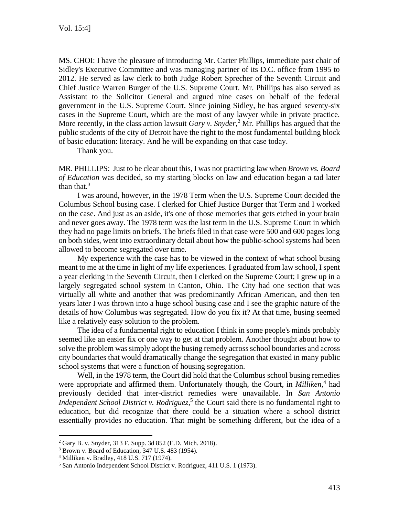MS. CHOI: I have the pleasure of introducing Mr. Carter Phillips, immediate past chair of Sidley's Executive Committee and was managing partner of its D.C. office from 1995 to 2012. He served as law clerk to both Judge Robert Sprecher of the Seventh Circuit and Chief Justice Warren Burger of the U.S. Supreme Court. Mr. Phillips has also served as Assistant to the Solicitor General and argued nine cases on behalf of the federal government in the U.S. Supreme Court. Since joining Sidley, he has argued seventy-six cases in the Supreme Court, which are the most of any lawyer while in private practice. More recently, in the class action lawsuit *Gary v. Snyder*, <sup>2</sup> Mr. Phillips has argued that the public students of the city of Detroit have the right to the most fundamental building block of basic education: literacy. And he will be expanding on that case today.

Thank you.

MR. PHILLIPS: Just to be clear about this, I was not practicing law when *Brown vs. Board of Education* was decided, so my starting blocks on law and education began a tad later than that. $3$ 

I was around, however, in the 1978 Term when the U.S. Supreme Court decided the Columbus School busing case. I clerked for Chief Justice Burger that Term and I worked on the case. And just as an aside, it's one of those memories that gets etched in your brain and never goes away. The 1978 term was the last term in the U.S. Supreme Court in which they had no page limits on briefs. The briefs filed in that case were 500 and 600 pages long on both sides, went into extraordinary detail about how the public-school systems had been allowed to become segregated over time.

My experience with the case has to be viewed in the context of what school busing meant to me at the time in light of my life experiences. I graduated from law school, I spent a year clerking in the Seventh Circuit, then I clerked on the Supreme Court; I grew up in a largely segregated school system in Canton, Ohio. The City had one section that was virtually all white and another that was predominantly African American, and then ten years later I was thrown into a huge school busing case and I see the graphic nature of the details of how Columbus was segregated. How do you fix it? At that time, busing seemed like a relatively easy solution to the problem.

The idea of a fundamental right to education I think in some people's minds probably seemed like an easier fix or one way to get at that problem. Another thought about how to solve the problem was simply adopt the busing remedy across school boundaries and across city boundaries that would dramatically change the segregation that existed in many public school systems that were a function of housing segregation.

Well, in the 1978 term, the Court did hold that the Columbus school busing remedies were appropriate and affirmed them. Unfortunately though, the Court, in *Milliken*<sup>4</sup> had previously decided that inter-district remedies were unavailable. In *San Antonio Independent School District v. Rodriguez*,<sup>5</sup> the Court said there is no fundamental right to education, but did recognize that there could be a situation where a school district essentially provides no education. That might be something different, but the idea of a

<sup>2</sup> Gary B. v. Snyder, 313 F. Supp. 3d 852 (E.D. Mich. 2018).

<sup>3</sup> Brown v. Board of Education, 347 U.S. 483 (1954).

<sup>4</sup> Milliken v. Bradley, 418 U.S. 717 (1974).

<sup>5</sup> San Antonio Independent School District v. Rodriguez, 411 U.S. 1 (1973).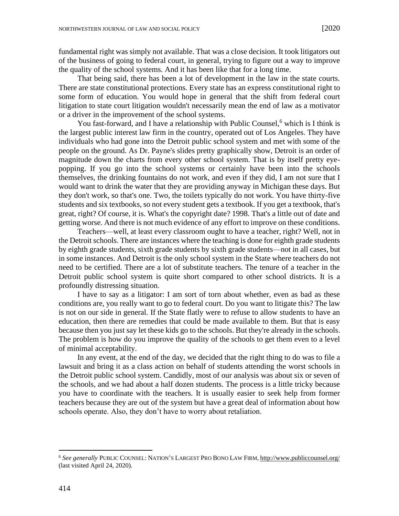fundamental right was simply not available. That was a close decision. It took litigators out of the business of going to federal court, in general, trying to figure out a way to improve the quality of the school systems. And it has been like that for a long time.

That being said, there has been a lot of development in the law in the state courts. There are state constitutional protections. Every state has an express constitutional right to some form of education. You would hope in general that the shift from federal court litigation to state court litigation wouldn't necessarily mean the end of law as a motivator or a driver in the improvement of the school systems.

You fast-forward, and I have a relationship with Public Counsel,<sup>6</sup> which is I think is the largest public interest law firm in the country, operated out of Los Angeles. They have individuals who had gone into the Detroit public school system and met with some of the people on the ground. As Dr. Payne's slides pretty graphically show, Detroit is an order of magnitude down the charts from every other school system. That is by itself pretty eyepopping. If you go into the school systems or certainly have been into the schools themselves, the drinking fountains do not work, and even if they did, I am not sure that I would want to drink the water that they are providing anyway in Michigan these days. But they don't work, so that's one. Two, the toilets typically do not work. You have thirty-five students and six textbooks, so not every student gets a textbook. If you get a textbook, that's great, right? Of course, it is. What's the copyright date? 1998. That's a little out of date and getting worse. And there is not much evidence of any effort to improve on these conditions.

Teachers—well, at least every classroom ought to have a teacher, right? Well, not in the Detroit schools. There are instances where the teaching is done for eighth grade students by eighth grade students, sixth grade students by sixth grade students—not in all cases, but in some instances. And Detroit is the only school system in the State where teachers do not need to be certified. There are a lot of substitute teachers. The tenure of a teacher in the Detroit public school system is quite short compared to other school districts. It is a profoundly distressing situation.

I have to say as a litigator: I am sort of torn about whether, even as bad as these conditions are, you really want to go to federal court. Do you want to litigate this? The law is not on our side in general. If the State flatly were to refuse to allow students to have an education, then there are remedies that could be made available to them. But that is easy because then you just say let these kids go to the schools. But they're already in the schools. The problem is how do you improve the quality of the schools to get them even to a level of minimal acceptability.

In any event, at the end of the day, we decided that the right thing to do was to file a lawsuit and bring it as a class action on behalf of students attending the worst schools in the Detroit public school system. Candidly, most of our analysis was about six or seven of the schools, and we had about a half dozen students. The process is a little tricky because you have to coordinate with the teachers. It is usually easier to seek help from former teachers because they are out of the system but have a great deal of information about how schools operate. Also, they don't have to worry about retaliation.

<sup>6</sup> *See generally* PUBLIC COUNSEL: NATION'S LARGEST PRO BONO LAW FIRM, <http://www.publiccounsel.org/> (last visited April 24, 2020).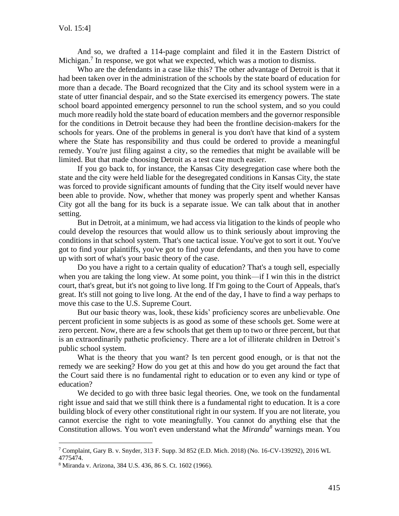And so, we drafted a 114-page complaint and filed it in the Eastern District of Michigan.<sup>7</sup> In response, we got what we expected, which was a motion to dismiss.

Who are the defendants in a case like this? The other advantage of Detroit is that it had been taken over in the administration of the schools by the state board of education for more than a decade. The Board recognized that the City and its school system were in a state of utter financial despair, and so the State exercised its emergency powers. The state school board appointed emergency personnel to run the school system, and so you could much more readily hold the state board of education members and the governor responsible for the conditions in Detroit because they had been the frontline decision-makers for the schools for years. One of the problems in general is you don't have that kind of a system where the State has responsibility and thus could be ordered to provide a meaningful remedy. You're just filing against a city, so the remedies that might be available will be limited. But that made choosing Detroit as a test case much easier.

If you go back to, for instance, the Kansas City desegregation case where both the state and the city were held liable for the desegregated conditions in Kansas City, the state was forced to provide significant amounts of funding that the City itself would never have been able to provide. Now, whether that money was properly spent and whether Kansas City got all the bang for its buck is a separate issue. We can talk about that in another setting.

But in Detroit, at a minimum, we had access via litigation to the kinds of people who could develop the resources that would allow us to think seriously about improving the conditions in that school system. That's one tactical issue. You've got to sort it out. You've got to find your plaintiffs, you've got to find your defendants, and then you have to come up with sort of what's your basic theory of the case.

Do you have a right to a certain quality of education? That's a tough sell, especially when you are taking the long view. At some point, you think—if I win this in the district court, that's great, but it's not going to live long. If I'm going to the Court of Appeals, that's great. It's still not going to live long. At the end of the day, I have to find a way perhaps to move this case to the U.S. Supreme Court.

But our basic theory was, look, these kids' proficiency scores are unbelievable. One percent proficient in some subjects is as good as some of these schools get. Some were at zero percent. Now, there are a few schools that get them up to two or three percent, but that is an extraordinarily pathetic proficiency. There are a lot of illiterate children in Detroit's public school system.

What is the theory that you want? Is ten percent good enough, or is that not the remedy we are seeking? How do you get at this and how do you get around the fact that the Court said there is no fundamental right to education or to even any kind or type of education?

We decided to go with three basic legal theories. One, we took on the fundamental right issue and said that we still think there is a fundamental right to education. It is a core building block of every other constitutional right in our system. If you are not literate, you cannot exercise the right to vote meaningfully. You cannot do anything else that the Constitution allows. You won't even understand what the *Miranda<sup>8</sup>* warnings mean. You

<sup>7</sup> Complaint, Gary B. v. Snyder, 313 F. Supp. 3d 852 (E.D. Mich. 2018) (No. 16-CV-139292), 2016 WL

<sup>4775474.</sup>

<sup>8</sup> Miranda v. Arizona, 384 U.S. 436, 86 S. Ct. 1602 (1966).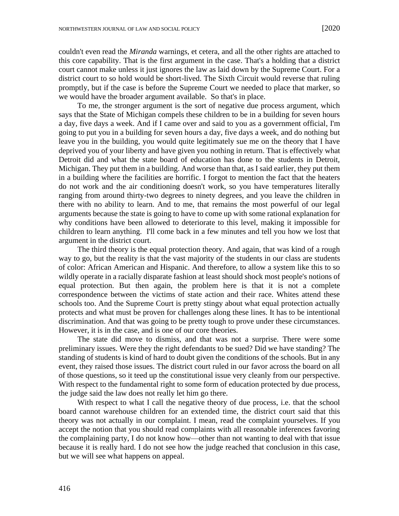couldn't even read the *Miranda* warnings, et cetera, and all the other rights are attached to this core capability. That is the first argument in the case. That's a holding that a district court cannot make unless it just ignores the law as laid down by the Supreme Court. For a district court to so hold would be short-lived. The Sixth Circuit would reverse that ruling promptly, but if the case is before the Supreme Court we needed to place that marker, so we would have the broader argument available. So that's in place.

To me, the stronger argument is the sort of negative due process argument, which says that the State of Michigan compels these children to be in a building for seven hours a day, five days a week. And if I came over and said to you as a government official, I'm going to put you in a building for seven hours a day, five days a week, and do nothing but leave you in the building, you would quite legitimately sue me on the theory that I have deprived you of your liberty and have given you nothing in return. That is effectively what Detroit did and what the state board of education has done to the students in Detroit, Michigan. They put them in a building. And worse than that, as I said earlier, they put them in a building where the facilities are horrific. I forgot to mention the fact that the heaters do not work and the air conditioning doesn't work, so you have temperatures literally ranging from around thirty-two degrees to ninety degrees, and you leave the children in there with no ability to learn. And to me, that remains the most powerful of our legal arguments because the state is going to have to come up with some rational explanation for why conditions have been allowed to deteriorate to this level, making it impossible for children to learn anything. I'll come back in a few minutes and tell you how we lost that argument in the district court.

The third theory is the equal protection theory. And again, that was kind of a rough way to go, but the reality is that the vast majority of the students in our class are students of color: African American and Hispanic. And therefore, to allow a system like this to so wildly operate in a racially disparate fashion at least should shock most people's notions of equal protection. But then again, the problem here is that it is not a complete correspondence between the victims of state action and their race. Whites attend these schools too. And the Supreme Court is pretty stingy about what equal protection actually protects and what must be proven for challenges along these lines. It has to be intentional discrimination. And that was going to be pretty tough to prove under these circumstances. However, it is in the case, and is one of our core theories.

The state did move to dismiss, and that was not a surprise. There were some preliminary issues. Were they the right defendants to be sued? Did we have standing? The standing of students is kind of hard to doubt given the conditions of the schools. But in any event, they raised those issues. The district court ruled in our favor across the board on all of those questions, so it teed up the constitutional issue very cleanly from our perspective. With respect to the fundamental right to some form of education protected by due process, the judge said the law does not really let him go there.

With respect to what I call the negative theory of due process, i.e. that the school board cannot warehouse children for an extended time, the district court said that this theory was not actually in our complaint. I mean, read the complaint yourselves. If you accept the notion that you should read complaints with all reasonable inferences favoring the complaining party, I do not know how—other than not wanting to deal with that issue because it is really hard. I do not see how the judge reached that conclusion in this case, but we will see what happens on appeal.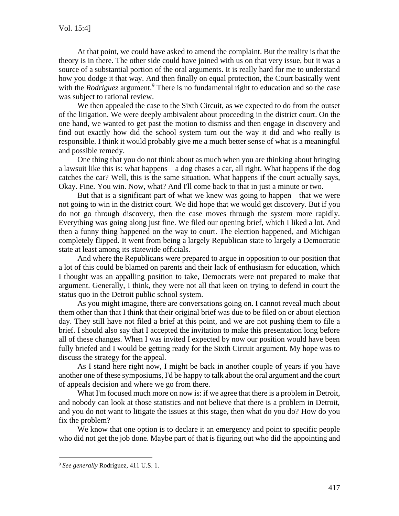At that point, we could have asked to amend the complaint. But the reality is that the theory is in there. The other side could have joined with us on that very issue, but it was a source of a substantial portion of the oral arguments. It is really hard for me to understand how you dodge it that way. And then finally on equal protection, the Court basically went with the *Rodriguez* argument.<sup>9</sup> There is no fundamental right to education and so the case was subject to rational review.

We then appealed the case to the Sixth Circuit, as we expected to do from the outset of the litigation. We were deeply ambivalent about proceeding in the district court. On the one hand, we wanted to get past the motion to dismiss and then engage in discovery and find out exactly how did the school system turn out the way it did and who really is responsible. I think it would probably give me a much better sense of what is a meaningful and possible remedy.

One thing that you do not think about as much when you are thinking about bringing a lawsuit like this is: what happens—a dog chases a car, all right. What happens if the dog catches the car? Well, this is the same situation. What happens if the court actually says, Okay. Fine. You win. Now, what? And I'll come back to that in just a minute or two.

But that is a significant part of what we knew was going to happen—that we were not going to win in the district court. We did hope that we would get discovery. But if you do not go through discovery, then the case moves through the system more rapidly. Everything was going along just fine. We filed our opening brief, which I liked a lot. And then a funny thing happened on the way to court. The election happened, and Michigan completely flipped. It went from being a largely Republican state to largely a Democratic state at least among its statewide officials.

And where the Republicans were prepared to argue in opposition to our position that a lot of this could be blamed on parents and their lack of enthusiasm for education, which I thought was an appalling position to take, Democrats were not prepared to make that argument. Generally, I think, they were not all that keen on trying to defend in court the status quo in the Detroit public school system.

As you might imagine, there are conversations going on. I cannot reveal much about them other than that I think that their original brief was due to be filed on or about election day. They still have not filed a brief at this point, and we are not pushing them to file a brief. I should also say that I accepted the invitation to make this presentation long before all of these changes. When I was invited I expected by now our position would have been fully briefed and I would be getting ready for the Sixth Circuit argument. My hope was to discuss the strategy for the appeal.

As I stand here right now, I might be back in another couple of years if you have another one of these symposiums, I'd be happy to talk about the oral argument and the court of appeals decision and where we go from there.

What I'm focused much more on now is: if we agree that there is a problem in Detroit, and nobody can look at those statistics and not believe that there is a problem in Detroit, and you do not want to litigate the issues at this stage, then what do you do? How do you fix the problem?

We know that one option is to declare it an emergency and point to specific people who did not get the job done. Maybe part of that is figuring out who did the appointing and

<sup>9</sup> *See generally* Rodriguez, 411 U.S. 1.